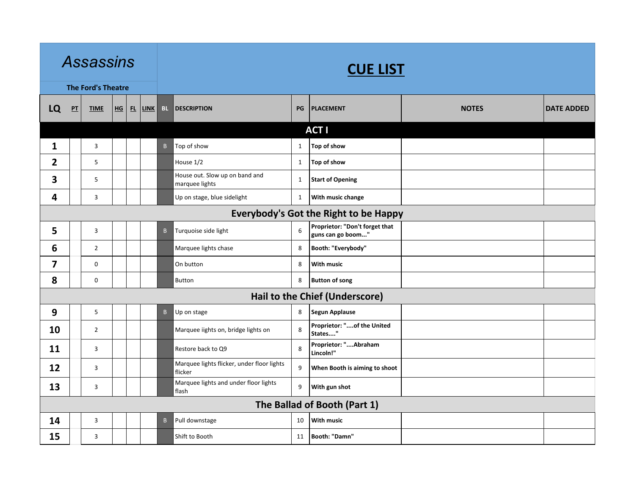|                         |                                              | <b>Assassins</b>          |              |  |             |              |                                                       |              | <b>CUE LIST</b>                                     |              |                   |  |  |  |
|-------------------------|----------------------------------------------|---------------------------|--------------|--|-------------|--------------|-------------------------------------------------------|--------------|-----------------------------------------------------|--------------|-------------------|--|--|--|
|                         |                                              | <b>The Ford's Theatre</b> |              |  |             |              |                                                       |              |                                                     |              |                   |  |  |  |
| LQ                      | $P$ T                                        | <b>TIME</b>               | $H$ <b>G</b> |  | $FL$ $LINK$ | <b>BL</b>    | <b>DESCRIPTION</b>                                    | PG           | <b>PLACEMENT</b>                                    | <b>NOTES</b> | <b>DATE ADDED</b> |  |  |  |
|                         |                                              |                           |              |  |             |              |                                                       |              | <b>ACTI</b>                                         |              |                   |  |  |  |
| 1                       |                                              | 3                         |              |  |             | $\mathsf{B}$ | Top of show                                           | $\mathbf{1}$ | Top of show                                         |              |                   |  |  |  |
| $\overline{2}$          |                                              | 5                         |              |  |             |              | House 1/2                                             | $\mathbf{1}$ | Top of show                                         |              |                   |  |  |  |
| 3                       |                                              | 5                         |              |  |             |              | House out. Slow up on band and<br>marquee lights      | $\mathbf{1}$ | Start of Opening                                    |              |                   |  |  |  |
| 4                       |                                              | 3                         |              |  |             |              | Up on stage, blue sidelight                           | $\mathbf{1}$ | With music change                                   |              |                   |  |  |  |
|                         | <b>Everybody's Got the Right to be Happy</b> |                           |              |  |             |              |                                                       |              |                                                     |              |                   |  |  |  |
| 5                       |                                              | 3                         |              |  |             | $\mathsf{B}$ | Turquoise side light                                  | 6            | Proprietor: "Don't forget that<br>guns can go boom" |              |                   |  |  |  |
| 6                       |                                              | $\overline{2}$            |              |  |             |              | Marquee lights chase                                  | 8            | Booth: "Everybody"                                  |              |                   |  |  |  |
| $\overline{\mathbf{z}}$ |                                              | 0                         |              |  |             |              | On button                                             | 8            | <b>With music</b>                                   |              |                   |  |  |  |
| 8                       |                                              | 0                         |              |  |             |              | <b>Button</b>                                         | 8            | <b>Button of song</b>                               |              |                   |  |  |  |
|                         |                                              |                           |              |  |             |              |                                                       |              | Hail to the Chief (Underscore)                      |              |                   |  |  |  |
| 9                       |                                              | 5                         |              |  |             | $\mathsf{B}$ | Up on stage                                           | 8            | Segun Applause                                      |              |                   |  |  |  |
| 10                      |                                              | $\overline{2}$            |              |  |             |              | Marquee iights on, bridge lights on                   | 8            | Proprietor: "of the United<br>States"               |              |                   |  |  |  |
| 11                      |                                              | 3                         |              |  |             |              | Restore back to Q9                                    | 8            | Proprietor: "Abraham<br>Lincoln!"                   |              |                   |  |  |  |
| 12                      |                                              | 3                         |              |  |             |              | Marquee lights flicker, under floor lights<br>flicker | 9            | When Booth is aiming to shoot                       |              |                   |  |  |  |
| 13                      |                                              | 3                         |              |  |             |              | Marquee lights and under floor lights<br>flash        | 9            | With gun shot                                       |              |                   |  |  |  |
|                         |                                              |                           |              |  |             |              |                                                       |              | The Ballad of Booth (Part 1)                        |              |                   |  |  |  |
| 14                      |                                              | 3                         |              |  |             | B            | Pull downstage                                        | 10           | <b>With music</b>                                   |              |                   |  |  |  |
| 15                      |                                              | 3                         |              |  |             |              | Shift to Booth                                        | 11           | Booth: "Damn"                                       |              |                   |  |  |  |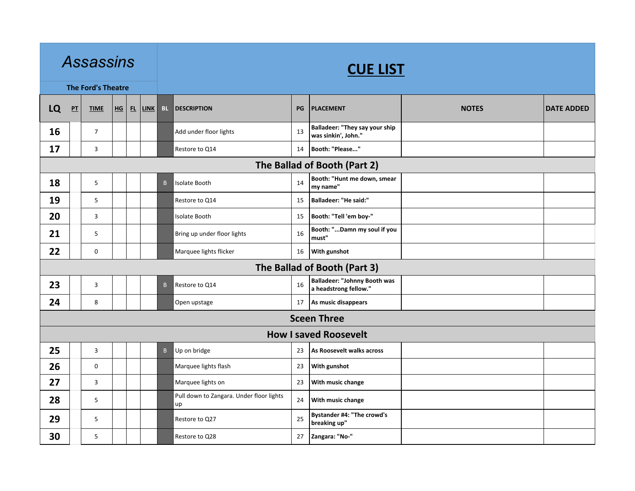|    |                              | <b>Assassins</b>          |  |           |             | <b>CUE LIST</b> |                                                |    |                                                              |              |                   |  |  |  |
|----|------------------------------|---------------------------|--|-----------|-------------|-----------------|------------------------------------------------|----|--------------------------------------------------------------|--------------|-------------------|--|--|--|
|    |                              | <b>The Ford's Theatre</b> |  |           |             |                 |                                                |    |                                                              |              |                   |  |  |  |
| LQ | P                            | <b>TIME</b>               |  | $HG$ $FL$ | <b>LINK</b> | <b>BL</b>       | <b>DESCRIPTION</b>                             | PG | <b>PLACEMENT</b>                                             | <b>NOTES</b> | <b>DATE ADDED</b> |  |  |  |
| 16 |                              | $\overline{7}$            |  |           |             |                 | Add under floor lights                         | 13 | Balladeer: "They say your ship<br>was sinkin', John."        |              |                   |  |  |  |
| 17 |                              | 3                         |  |           |             |                 | Restore to Q14                                 | 14 | Booth: "Please"                                              |              |                   |  |  |  |
|    | The Ballad of Booth (Part 2) |                           |  |           |             |                 |                                                |    |                                                              |              |                   |  |  |  |
| 18 |                              | 5                         |  |           |             | B               | Isolate Booth                                  | 14 | Booth: "Hunt me down, smear<br>my name"                      |              |                   |  |  |  |
| 19 |                              | 5                         |  |           |             |                 | Restore to Q14                                 | 15 | Balladeer: "He said:"                                        |              |                   |  |  |  |
| 20 |                              | 3                         |  |           |             |                 | Isolate Booth                                  | 15 | Booth: "Tell 'em boy-"                                       |              |                   |  |  |  |
| 21 |                              | 5                         |  |           |             |                 | Bring up under floor lights                    | 16 | Booth: "Damn my soul if you<br>must"                         |              |                   |  |  |  |
| 22 |                              | 0                         |  |           |             |                 | Marquee lights flicker                         | 16 | With gunshot                                                 |              |                   |  |  |  |
|    |                              |                           |  |           |             |                 |                                                |    | The Ballad of Booth (Part 3)                                 |              |                   |  |  |  |
| 23 |                              | 3                         |  |           |             | B               | Restore to Q14                                 | 16 | <b>Balladeer: "Johnny Booth was</b><br>a headstrong fellow." |              |                   |  |  |  |
| 24 |                              | 8                         |  |           |             |                 | Open upstage                                   | 17 | As music disappears                                          |              |                   |  |  |  |
|    |                              |                           |  |           |             |                 |                                                |    | <b>Sceen Three</b>                                           |              |                   |  |  |  |
|    |                              |                           |  |           |             |                 |                                                |    | <b>How I saved Roosevelt</b>                                 |              |                   |  |  |  |
| 25 |                              | $\mathbf{3}$              |  |           |             | B               | Up on bridge                                   | 23 | As Roosevelt walks across                                    |              |                   |  |  |  |
| 26 |                              | 0                         |  |           |             |                 | Marquee lights flash                           | 23 | With gunshot                                                 |              |                   |  |  |  |
| 27 |                              | 3                         |  |           |             |                 | Marquee lights on                              | 23 | With music change                                            |              |                   |  |  |  |
| 28 |                              | 5                         |  |           |             |                 | Pull down to Zangara. Under floor lights<br>up | 24 | With music change                                            |              |                   |  |  |  |
| 29 |                              | 5                         |  |           |             |                 | Restore to Q27                                 | 25 | Bystander #4: "The crowd's<br>breaking up"                   |              |                   |  |  |  |
| 30 |                              | 5                         |  |           |             |                 | Restore to Q28                                 | 27 | Zangara: "No-"                                               |              |                   |  |  |  |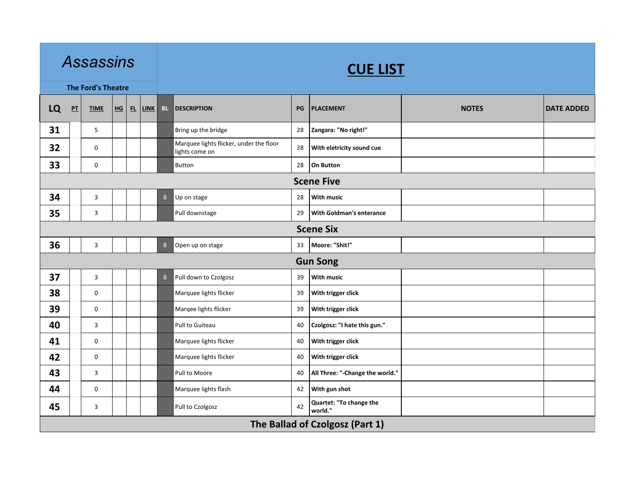|    | <b>Assassins</b><br><b>The Ford's Theatre</b><br>$P$ T<br>$H$ G<br><b>TIME</b><br>5<br>$\mathbf 0$<br>$\mathbf 0$<br>3<br>3<br>$\mathsf 3$<br>$\mathbf{3}$<br>$\mathbf 0$<br>0<br>3<br>$\mathbf 0$<br>$\mathbf 0$<br>3<br>$\mathbf 0$ |   |  |   |      |              |                                                           |    | <b>CUE LIST</b>                    |              |                   |  |  |  |
|----|---------------------------------------------------------------------------------------------------------------------------------------------------------------------------------------------------------------------------------------|---|--|---|------|--------------|-----------------------------------------------------------|----|------------------------------------|--------------|-------------------|--|--|--|
|    |                                                                                                                                                                                                                                       |   |  |   |      |              |                                                           |    |                                    |              |                   |  |  |  |
| LQ |                                                                                                                                                                                                                                       |   |  | E | LINK | BL.          | <b>DESCRIPTION</b>                                        | PG | <b>PLACEMENT</b>                   | <b>NOTES</b> | <b>DATE ADDED</b> |  |  |  |
| 31 |                                                                                                                                                                                                                                       |   |  |   |      |              | Bring up the bridge                                       | 28 | Zangara: "No right!"               |              |                   |  |  |  |
| 32 |                                                                                                                                                                                                                                       |   |  |   |      |              | Marquee lights flicker, under the floor<br>lights come on | 28 | With eletricity sound cue          |              |                   |  |  |  |
| 33 |                                                                                                                                                                                                                                       |   |  |   |      |              | <b>Button</b>                                             | 28 | On Button                          |              |                   |  |  |  |
|    | <b>Scene Five</b>                                                                                                                                                                                                                     |   |  |   |      |              |                                                           |    |                                    |              |                   |  |  |  |
| 34 |                                                                                                                                                                                                                                       |   |  |   |      | B            | Up on stage                                               | 28 | <b>With music</b>                  |              |                   |  |  |  |
| 35 |                                                                                                                                                                                                                                       |   |  |   |      |              | Pull downstage                                            | 29 | <b>With Goldman's enterance</b>    |              |                   |  |  |  |
|    | <b>Scene Six</b>                                                                                                                                                                                                                      |   |  |   |      |              |                                                           |    |                                    |              |                   |  |  |  |
| 36 |                                                                                                                                                                                                                                       |   |  |   |      | $\mathsf B$  | Open up on stage                                          | 33 | Moore: "Shit!"                     |              |                   |  |  |  |
|    |                                                                                                                                                                                                                                       |   |  |   |      |              |                                                           |    | <b>Gun Song</b>                    |              |                   |  |  |  |
| 37 |                                                                                                                                                                                                                                       |   |  |   |      | $\mathsf{B}$ | Pull down to Czolgosz                                     | 39 | <b>With music</b>                  |              |                   |  |  |  |
| 38 |                                                                                                                                                                                                                                       |   |  |   |      |              | Marquee lights flicker                                    | 39 | With trigger click                 |              |                   |  |  |  |
| 39 |                                                                                                                                                                                                                                       |   |  |   |      |              | Marqee lights flicker                                     | 39 | With trigger click                 |              |                   |  |  |  |
| 40 |                                                                                                                                                                                                                                       |   |  |   |      |              | Pull to Guiteau                                           | 40 | Czolgosz: "I hate this gun."       |              |                   |  |  |  |
| 41 |                                                                                                                                                                                                                                       |   |  |   |      |              | Marquee lights flicker                                    | 40 | With trigger click                 |              |                   |  |  |  |
| 42 |                                                                                                                                                                                                                                       |   |  |   |      |              | Marquee lights flicker                                    | 40 | With trigger click                 |              |                   |  |  |  |
| 43 |                                                                                                                                                                                                                                       |   |  |   |      |              | Pull to Moore                                             | 40 | All Three: "-Change the world."    |              |                   |  |  |  |
| 44 |                                                                                                                                                                                                                                       |   |  |   |      |              | Marquee lights flash                                      | 42 | With gun shot                      |              |                   |  |  |  |
| 45 |                                                                                                                                                                                                                                       | 3 |  |   |      |              | Pull to Czolgosz                                          | 42 | Quartet: "To change the<br>world." |              |                   |  |  |  |
|    |                                                                                                                                                                                                                                       |   |  |   |      |              |                                                           |    | The Ballad of Czolgosz (Part 1)    |              |                   |  |  |  |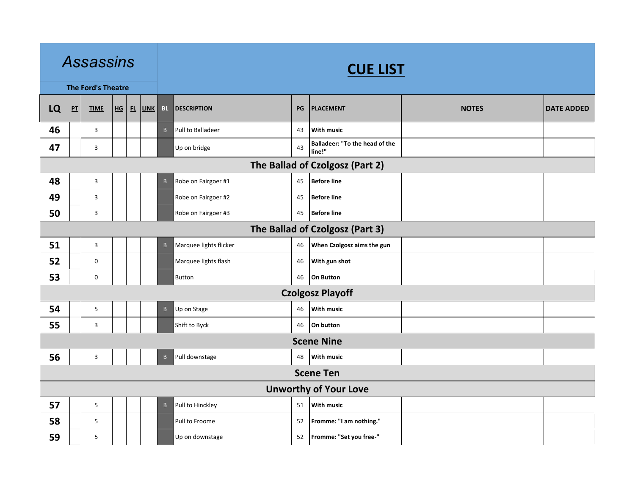| <b>Assassins</b><br><b>The Ford's Theatre</b><br>LQ<br>P <sub>T</sub><br>HG<br>FL<br><b>TIME</b><br>46<br>3<br>47<br>3<br>48<br>3<br>49<br>3<br>50<br>3<br>51<br>$\mathbf{3}$<br>52<br>$\mathbf 0$<br>53<br>$\mathbf 0$<br>54<br>$\overline{5}$ |                                 |              |  |  |             |              | <b>CUE LIST</b>        |    |                                          |              |                   |  |  |
|-------------------------------------------------------------------------------------------------------------------------------------------------------------------------------------------------------------------------------------------------|---------------------------------|--------------|--|--|-------------|--------------|------------------------|----|------------------------------------------|--------------|-------------------|--|--|
|                                                                                                                                                                                                                                                 |                                 |              |  |  |             |              |                        |    |                                          |              |                   |  |  |
|                                                                                                                                                                                                                                                 |                                 |              |  |  | <b>LINK</b> | <b>BL</b>    | <b>DESCRIPTION</b>     | PG | <b>PLACEMENT</b>                         | <b>NOTES</b> | <b>DATE ADDED</b> |  |  |
|                                                                                                                                                                                                                                                 |                                 |              |  |  |             | B            | Pull to Balladeer      | 43 | With music                               |              |                   |  |  |
|                                                                                                                                                                                                                                                 |                                 |              |  |  |             |              | Up on bridge           | 43 | Balladeer: "To the head of the<br>line!" |              |                   |  |  |
|                                                                                                                                                                                                                                                 | The Ballad of Czolgosz (Part 2) |              |  |  |             |              |                        |    |                                          |              |                   |  |  |
|                                                                                                                                                                                                                                                 |                                 |              |  |  |             | B            | Robe on Fairgoer #1    | 45 | <b>Before line</b>                       |              |                   |  |  |
|                                                                                                                                                                                                                                                 |                                 |              |  |  |             |              | Robe on Fairgoer #2    | 45 | <b>Before line</b>                       |              |                   |  |  |
|                                                                                                                                                                                                                                                 |                                 |              |  |  |             |              | Robe on Fairgoer #3    | 45 | <b>Before line</b>                       |              |                   |  |  |
|                                                                                                                                                                                                                                                 | The Ballad of Czolgosz (Part 3) |              |  |  |             |              |                        |    |                                          |              |                   |  |  |
|                                                                                                                                                                                                                                                 |                                 |              |  |  |             | B            | Marquee lights flicker | 46 | When Czolgosz aims the gun               |              |                   |  |  |
|                                                                                                                                                                                                                                                 |                                 |              |  |  |             |              | Marquee lights flash   | 46 | With gun shot                            |              |                   |  |  |
|                                                                                                                                                                                                                                                 |                                 |              |  |  |             |              | Button                 | 46 | On Button                                |              |                   |  |  |
|                                                                                                                                                                                                                                                 |                                 |              |  |  |             |              |                        |    | <b>Czolgosz Playoff</b>                  |              |                   |  |  |
|                                                                                                                                                                                                                                                 |                                 |              |  |  |             | B            | Up on Stage            | 46 | <b>With music</b>                        |              |                   |  |  |
| 55                                                                                                                                                                                                                                              |                                 | 3            |  |  |             |              | Shift to Byck          | 46 | On button                                |              |                   |  |  |
|                                                                                                                                                                                                                                                 |                                 |              |  |  |             |              |                        |    | <b>Scene Nine</b>                        |              |                   |  |  |
| 56                                                                                                                                                                                                                                              |                                 | $\mathbf{3}$ |  |  |             | $\mathsf{B}$ | Pull downstage         | 48 | <b>With music</b>                        |              |                   |  |  |
|                                                                                                                                                                                                                                                 |                                 |              |  |  |             |              |                        |    | <b>Scene Ten</b>                         |              |                   |  |  |
|                                                                                                                                                                                                                                                 |                                 |              |  |  |             |              |                        |    | <b>Unworthy of Your Love</b>             |              |                   |  |  |
| 57                                                                                                                                                                                                                                              |                                 | 5            |  |  |             | $\mathsf B$  | Pull to Hinckley       | 51 | <b>With music</b>                        |              |                   |  |  |
| 58                                                                                                                                                                                                                                              |                                 | 5            |  |  |             |              | Pull to Froome         | 52 | Fromme: "I am nothing."                  |              |                   |  |  |
| 59                                                                                                                                                                                                                                              |                                 | 5            |  |  |             |              | Up on downstage        | 52 | Fromme: "Set you free-"                  |              |                   |  |  |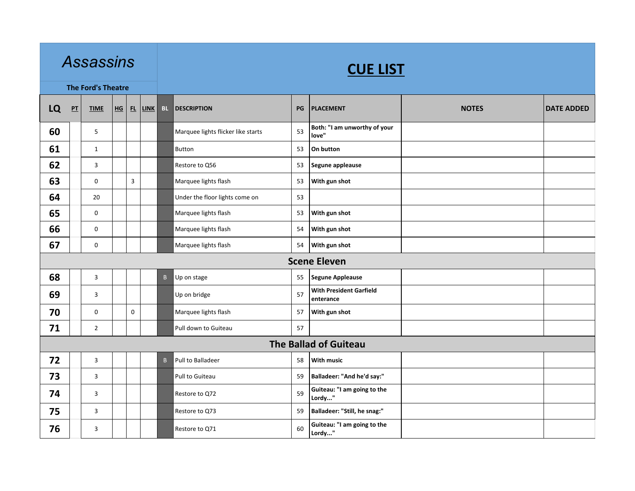|    |                              | <b>Assassins</b>          |    |             |             |              |                                    |    | <b>CUE LIST</b>                             |              |                   |
|----|------------------------------|---------------------------|----|-------------|-------------|--------------|------------------------------------|----|---------------------------------------------|--------------|-------------------|
|    |                              | <b>The Ford's Theatre</b> |    |             |             |              |                                    |    |                                             |              |                   |
| LQ | $P$ T                        | <b>TIME</b>               | HG | FL          | <b>LINK</b> | <b>BL</b>    | <b>DESCRIPTION</b>                 | PG | <b>PLACEMENT</b>                            | <b>NOTES</b> | <b>DATE ADDED</b> |
| 60 |                              | $5\phantom{.0}$           |    |             |             |              | Marquee lights flicker like starts | 53 | Both: "I am unworthy of your<br>love"       |              |                   |
| 61 |                              | $\mathbf{1}$              |    |             |             |              | <b>Button</b>                      | 53 | On button                                   |              |                   |
| 62 |                              | 3                         |    |             |             |              | Restore to Q56                     | 53 | Segune appleause                            |              |                   |
| 63 |                              | $\mathbf 0$               |    | 3           |             |              | Marquee lights flash               | 53 | With gun shot                               |              |                   |
| 64 |                              | $20\,$                    |    |             |             |              | Under the floor lights come on     | 53 |                                             |              |                   |
| 65 |                              | $\mathbf 0$               |    |             |             |              | Marquee lights flash               | 53 | With gun shot                               |              |                   |
| 66 |                              | $\mathbf 0$               |    |             |             |              | Marquee lights flash               | 54 | With gun shot                               |              |                   |
| 67 |                              | $\mathbf 0$               |    |             |             |              | Marquee lights flash               | 54 | With gun shot                               |              |                   |
|    |                              |                           |    |             |             |              |                                    |    | <b>Scene Eleven</b>                         |              |                   |
| 68 |                              | 3                         |    |             |             | $\mathsf B$  | Up on stage                        | 55 | <b>Segune Appleause</b>                     |              |                   |
| 69 |                              | 3                         |    |             |             |              | Up on bridge                       | 57 | <b>With President Garfield</b><br>enterance |              |                   |
| 70 |                              | $\mathbf 0$               |    | $\mathbf 0$ |             |              | Marquee lights flash               | 57 | With gun shot                               |              |                   |
| 71 |                              | $\overline{2}$            |    |             |             |              | Pull down to Guiteau               | 57 |                                             |              |                   |
|    | <b>The Ballad of Guiteau</b> |                           |    |             |             |              |                                    |    |                                             |              |                   |
| 72 |                              | $\overline{3}$            |    |             |             | $\mathsf{B}$ | Pull to Balladeer                  | 58 | <b>With music</b>                           |              |                   |
| 73 |                              | 3                         |    |             |             |              | Pull to Guiteau                    | 59 | Balladeer: "And he'd say:"                  |              |                   |
| 74 |                              | 3                         |    |             |             |              | Restore to Q72                     | 59 | Guiteau: "I am going to the<br>Lordy"       |              |                   |
| 75 |                              | $\overline{3}$            |    |             |             |              | Restore to Q73                     | 59 | Balladeer: "Still, he snag:"                |              |                   |
| 76 |                              | 3                         |    |             |             |              | Restore to Q71                     | 60 | Guiteau: "I am going to the<br>Lordy"       |              |                   |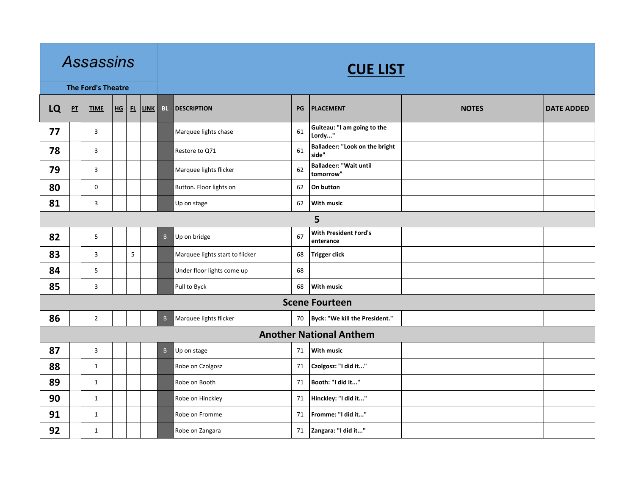| <b>Assassins</b><br><b>The Ford's Theatre</b><br>LQ<br>$H_G$ $H$<br>$P$ T<br><b>TIME</b><br>77<br>3<br>78<br>3<br>79<br>3<br>80<br>$\mathbf 0$<br>81<br>$\mathbf{3}$<br>82<br>5<br>83<br>3<br>84<br>$\sqrt{5}$<br>85<br>3<br>86<br>$\overline{2}$ |  |                |  |   |             | <b>CUE LIST</b> |                                 |    |                                                |              |                   |  |  |  |  |
|---------------------------------------------------------------------------------------------------------------------------------------------------------------------------------------------------------------------------------------------------|--|----------------|--|---|-------------|-----------------|---------------------------------|----|------------------------------------------------|--------------|-------------------|--|--|--|--|
|                                                                                                                                                                                                                                                   |  |                |  |   |             |                 |                                 |    |                                                |              |                   |  |  |  |  |
|                                                                                                                                                                                                                                                   |  |                |  |   | <b>LINK</b> | <b>BL</b>       | <b>DESCRIPTION</b>              | PG | <b>PLACEMENT</b>                               | <b>NOTES</b> | <b>DATE ADDED</b> |  |  |  |  |
|                                                                                                                                                                                                                                                   |  |                |  |   |             |                 | Marquee lights chase            | 61 | Guiteau: "I am going to the<br>Lordy"          |              |                   |  |  |  |  |
|                                                                                                                                                                                                                                                   |  |                |  |   |             |                 | Restore to Q71                  | 61 | <b>Balladeer: "Look on the bright</b><br>side" |              |                   |  |  |  |  |
|                                                                                                                                                                                                                                                   |  |                |  |   |             |                 | Marquee lights flicker          | 62 | <b>Balladeer: "Wait until</b><br>tomorrow"     |              |                   |  |  |  |  |
|                                                                                                                                                                                                                                                   |  |                |  |   |             |                 | Button. Floor lights on         | 62 | On button                                      |              |                   |  |  |  |  |
|                                                                                                                                                                                                                                                   |  |                |  |   |             |                 | Up on stage                     | 62 | With music                                     |              |                   |  |  |  |  |
| 5                                                                                                                                                                                                                                                 |  |                |  |   |             |                 |                                 |    |                                                |              |                   |  |  |  |  |
|                                                                                                                                                                                                                                                   |  |                |  |   |             | $\mathsf{B}$    | Up on bridge                    | 67 | <b>With President Ford's</b><br>enterance      |              |                   |  |  |  |  |
|                                                                                                                                                                                                                                                   |  |                |  | 5 |             |                 | Marquee lights start to flicker | 68 | <b>Trigger click</b>                           |              |                   |  |  |  |  |
|                                                                                                                                                                                                                                                   |  |                |  |   |             |                 | Under floor lights come up      | 68 |                                                |              |                   |  |  |  |  |
|                                                                                                                                                                                                                                                   |  |                |  |   |             |                 | Pull to Byck                    | 68 | <b>With music</b>                              |              |                   |  |  |  |  |
|                                                                                                                                                                                                                                                   |  |                |  |   |             |                 |                                 |    | <b>Scene Fourteen</b>                          |              |                   |  |  |  |  |
|                                                                                                                                                                                                                                                   |  |                |  |   |             | $\mathsf{B}$    | Marquee lights flicker          | 70 | Byck: "We kill the President."                 |              |                   |  |  |  |  |
|                                                                                                                                                                                                                                                   |  |                |  |   |             |                 |                                 |    | <b>Another National Anthem</b>                 |              |                   |  |  |  |  |
| 87                                                                                                                                                                                                                                                |  | $\overline{3}$ |  |   |             | B               | Up on stage                     | 71 | With music                                     |              |                   |  |  |  |  |
| 88                                                                                                                                                                                                                                                |  | $\mathbf{1}$   |  |   |             |                 | Robe on Czolgosz                | 71 | Czolgosz: "I did it"                           |              |                   |  |  |  |  |
| 89                                                                                                                                                                                                                                                |  | $\mathbf{1}$   |  |   |             |                 | Robe on Booth                   | 71 | Booth: "I did it"                              |              |                   |  |  |  |  |
| 90                                                                                                                                                                                                                                                |  | $\mathbf{1}$   |  |   |             |                 | Robe on Hinckley                | 71 | Hinckley: "I did it"                           |              |                   |  |  |  |  |
| 91                                                                                                                                                                                                                                                |  | $\mathbf{1}$   |  |   |             |                 | Robe on Fromme                  | 71 | Fromme: "I did it"                             |              |                   |  |  |  |  |
| 92                                                                                                                                                                                                                                                |  | 1              |  |   |             |                 | Robe on Zangara                 | 71 | Zangara: "I did it"                            |              |                   |  |  |  |  |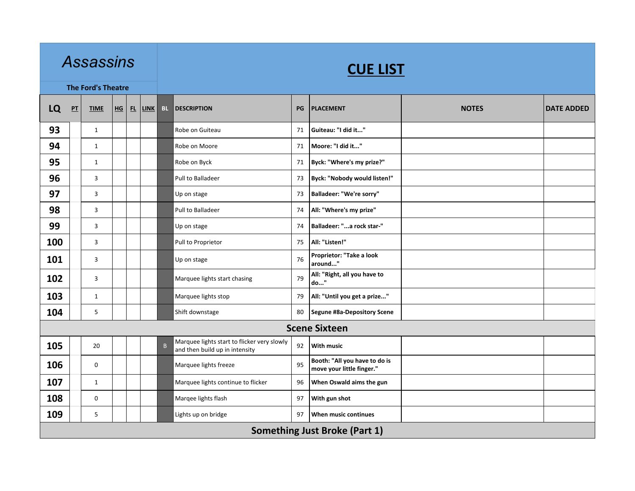|     |    | <b>Assassins</b>          |           |             |          |                                                                               |    | <b>CUE LIST</b>                                            |              |                   |
|-----|----|---------------------------|-----------|-------------|----------|-------------------------------------------------------------------------------|----|------------------------------------------------------------|--------------|-------------------|
|     |    | <b>The Ford's Theatre</b> |           |             |          |                                                                               |    |                                                            |              |                   |
| LQ  | PT | <b>TIME</b>               | $HG$ $FL$ | <b>LINK</b> | BL.      | <b>DESCRIPTION</b>                                                            | PG | <b>PLACEMENT</b>                                           | <b>NOTES</b> | <b>DATE ADDED</b> |
| 93  |    | $\mathbf{1}$              |           |             |          | Robe on Guiteau                                                               | 71 | Guiteau: "I did it"                                        |              |                   |
| 94  |    | $\mathbf{1}$              |           |             |          | Robe on Moore                                                                 | 71 | Moore: "I did it"                                          |              |                   |
| 95  |    | $\mathbf{1}$              |           |             |          | Robe on Byck                                                                  | 71 | Byck: "Where's my prize?"                                  |              |                   |
| 96  |    | 3                         |           |             |          | Pull to Balladeer                                                             | 73 | Byck: "Nobody would listen!"                               |              |                   |
| 97  |    | 3                         |           |             |          | Up on stage                                                                   | 73 | Balladeer: "We're sorry"                                   |              |                   |
| 98  |    | $\mathbf{3}$              |           |             |          | Pull to Balladeer                                                             | 74 | All: "Where's my prize"                                    |              |                   |
| 99  |    | 3                         |           |             |          | Up on stage                                                                   | 74 | Balladeer: "a rock star-"                                  |              |                   |
| 100 |    | 3                         |           |             |          | Pull to Proprietor                                                            | 75 | All: "Listen!"                                             |              |                   |
| 101 |    | 3                         |           |             |          | Up on stage                                                                   | 76 | Proprietor: "Take a look<br>around"                        |              |                   |
| 102 |    | 3                         |           |             |          | Marquee lights start chasing                                                  | 79 | All: "Right, all you have to<br>do"                        |              |                   |
| 103 |    | $\mathbf{1}$              |           |             |          | Marquee lights stop                                                           | 79 | All: "Until you get a prize"                               |              |                   |
| 104 |    | 5                         |           |             |          | Shift downstage                                                               | 80 | Segune #8a-Depository Scene                                |              |                   |
|     |    |                           |           |             |          |                                                                               |    | <b>Scene Sixteen</b>                                       |              |                   |
| 105 |    | 20                        |           |             | $\sf{B}$ | Marquee lights start to flicker very slowly<br>and then build up in intensity | 92 | <b>With music</b>                                          |              |                   |
| 106 |    | 0                         |           |             |          | Marquee lights freeze                                                         | 95 | Booth: "All you have to do is<br>move your little finger." |              |                   |
| 107 |    | $\mathbf{1}$              |           |             |          | Marquee lights continue to flicker                                            | 96 | When Oswald aims the gun                                   |              |                   |
| 108 |    | $\boldsymbol{0}$          |           |             |          | Marqee lights flash                                                           | 97 | With gun shot                                              |              |                   |
| 109 |    | 5                         |           |             |          | Lights up on bridge                                                           | 97 | When music continues                                       |              |                   |
|     |    |                           |           |             |          |                                                                               |    | <b>Something Just Broke (Part 1)</b>                       |              |                   |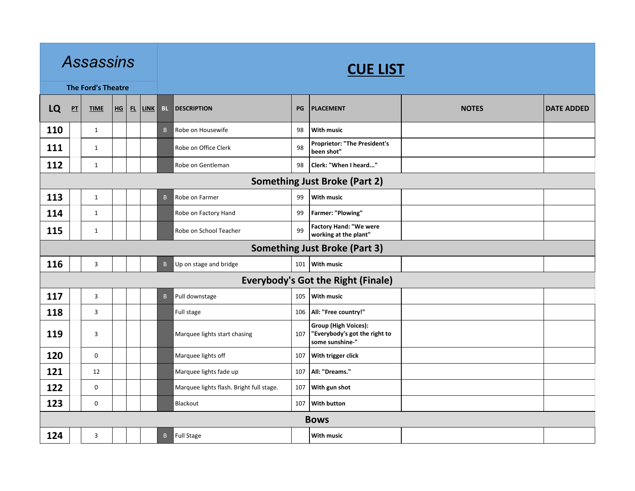|                                      | <b>Assassins</b><br><b>The Ford's Theatre</b><br>LQ<br>$P$ T<br>$HG$ $FL$<br><b>TIME</b><br>$\mathbf{1}$<br>$\mathbf{1}$<br>$\mathbf{1}$<br>$\mathbf{1}$<br>$\mathbf{1}$<br>$\mathbf{1}$<br>3<br>3<br>3<br>$\overline{3}$<br>$\mathbf 0$<br>12 |                |  |  | <b>CUE LIST</b> |              |                                          |     |                                                                                 |              |                   |  |  |  |
|--------------------------------------|------------------------------------------------------------------------------------------------------------------------------------------------------------------------------------------------------------------------------------------------|----------------|--|--|-----------------|--------------|------------------------------------------|-----|---------------------------------------------------------------------------------|--------------|-------------------|--|--|--|
|                                      |                                                                                                                                                                                                                                                |                |  |  |                 |              |                                          |     |                                                                                 |              |                   |  |  |  |
|                                      |                                                                                                                                                                                                                                                |                |  |  | <b>LINK</b>     | <b>BL</b>    | <b>DESCRIPTION</b>                       | PG  | <b>PLACEMENT</b>                                                                | <b>NOTES</b> | <b>DATE ADDED</b> |  |  |  |
| 110                                  |                                                                                                                                                                                                                                                |                |  |  |                 | $\mathsf{B}$ | Robe on Housewife                        | 98  | <b>With music</b>                                                               |              |                   |  |  |  |
| 111                                  |                                                                                                                                                                                                                                                |                |  |  |                 |              | Robe on Office Clerk                     | 98  | <b>Proprietor: "The President's</b><br>been shot"                               |              |                   |  |  |  |
| 112                                  |                                                                                                                                                                                                                                                |                |  |  |                 |              | Robe on Gentleman                        | 98  | Clerk: "When I heard"                                                           |              |                   |  |  |  |
|                                      | <b>Something Just Broke (Part 2)</b>                                                                                                                                                                                                           |                |  |  |                 |              |                                          |     |                                                                                 |              |                   |  |  |  |
| 113                                  |                                                                                                                                                                                                                                                |                |  |  |                 | $\mathsf{B}$ | Robe on Farmer                           | 99  | <b>With music</b>                                                               |              |                   |  |  |  |
| 114                                  |                                                                                                                                                                                                                                                |                |  |  |                 |              | Robe on Factory Hand                     | 99  | Farmer: "Plowing"                                                               |              |                   |  |  |  |
| 115                                  |                                                                                                                                                                                                                                                |                |  |  |                 |              | Robe on School Teacher                   | 99  | <b>Factory Hand: "We were</b><br>working at the plant"                          |              |                   |  |  |  |
| <b>Something Just Broke (Part 3)</b> |                                                                                                                                                                                                                                                |                |  |  |                 |              |                                          |     |                                                                                 |              |                   |  |  |  |
| 116                                  |                                                                                                                                                                                                                                                |                |  |  |                 | B            | Up on stage and bridge                   |     | 101 With music                                                                  |              |                   |  |  |  |
|                                      |                                                                                                                                                                                                                                                |                |  |  |                 |              |                                          |     | <b>Everybody's Got the Right (Finale)</b>                                       |              |                   |  |  |  |
| 117                                  |                                                                                                                                                                                                                                                |                |  |  |                 | $\mathsf B$  | Pull downstage                           | 105 | With music                                                                      |              |                   |  |  |  |
| 118                                  |                                                                                                                                                                                                                                                |                |  |  |                 |              | Full stage                               | 106 | All: "Free country!"                                                            |              |                   |  |  |  |
| 119                                  |                                                                                                                                                                                                                                                |                |  |  |                 |              | Marquee lights start chasing             | 107 | <b>Group (High Voices):</b><br>"Everybody's got the right to<br>some sunshine-" |              |                   |  |  |  |
| 120                                  |                                                                                                                                                                                                                                                |                |  |  |                 |              | Marquee lights off                       | 107 | With trigger click                                                              |              |                   |  |  |  |
| 121                                  |                                                                                                                                                                                                                                                |                |  |  |                 |              | Marquee lights fade up                   | 107 | All: "Dreams."                                                                  |              |                   |  |  |  |
| 122                                  |                                                                                                                                                                                                                                                | $\mathbf 0$    |  |  |                 |              | Marquee lights flash. Bright full stage. | 107 | With gun shot                                                                   |              |                   |  |  |  |
| 123                                  |                                                                                                                                                                                                                                                | $\mathbf 0$    |  |  |                 |              | Blackout                                 | 107 | With button                                                                     |              |                   |  |  |  |
|                                      |                                                                                                                                                                                                                                                |                |  |  |                 |              |                                          |     | <b>Bows</b>                                                                     |              |                   |  |  |  |
| 124                                  |                                                                                                                                                                                                                                                | $\overline{3}$ |  |  |                 | $\mathsf{B}$ | <b>Full Stage</b>                        |     | <b>With music</b>                                                               |              |                   |  |  |  |